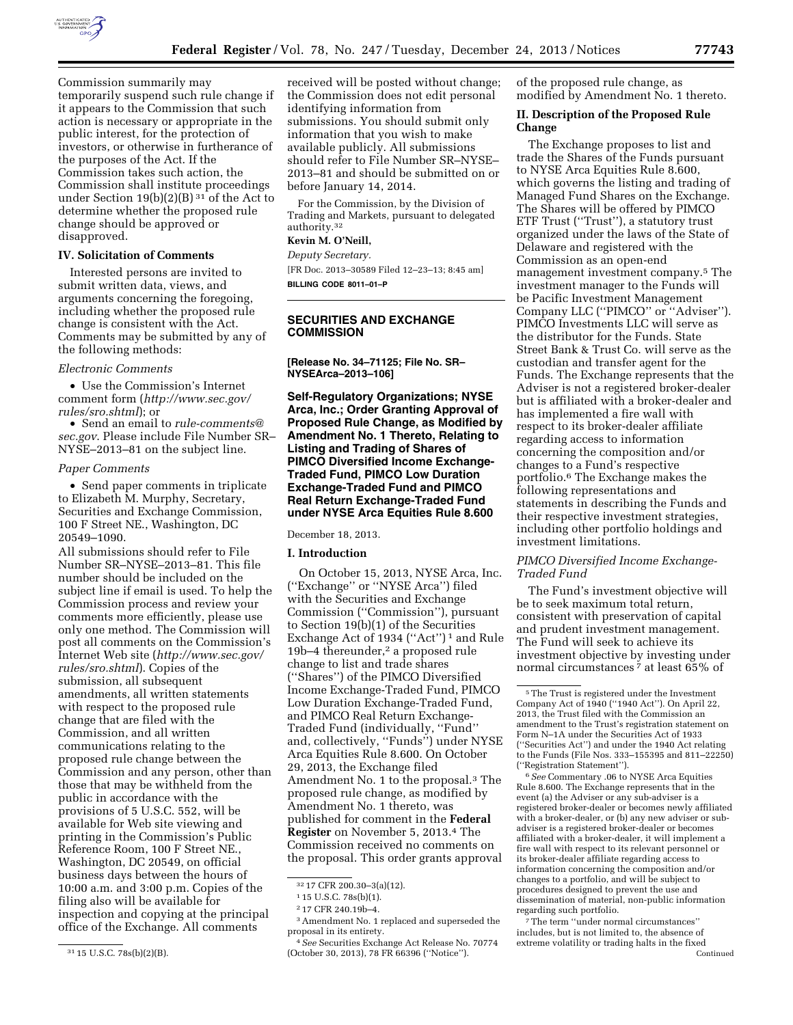

Commission summarily may temporarily suspend such rule change if it appears to the Commission that such action is necessary or appropriate in the public interest, for the protection of investors, or otherwise in furtherance of the purposes of the Act. If the Commission takes such action, the Commission shall institute proceedings under Section  $19(b)(2)(B)^{31}$  of the Act to determine whether the proposed rule change should be approved or disapproved.

#### **IV. Solicitation of Comments**

Interested persons are invited to submit written data, views, and arguments concerning the foregoing, including whether the proposed rule change is consistent with the Act. Comments may be submitted by any of the following methods:

#### *Electronic Comments*

• Use the Commission's Internet comment form (*[http://www.sec.gov/](http://www.sec.gov/rules/sro.shtml) [rules/sro.shtml](http://www.sec.gov/rules/sro.shtml)*); or

• Send an email to *[rule-comments@](mailto:rule-comments@sec.gov) [sec.gov](mailto:rule-comments@sec.gov)*. Please include File Number SR– NYSE–2013–81 on the subject line.

#### *Paper Comments*

• Send paper comments in triplicate to Elizabeth M. Murphy, Secretary, Securities and Exchange Commission, 100 F Street NE., Washington, DC 20549–1090.

All submissions should refer to File Number SR–NYSE–2013–81. This file number should be included on the subject line if email is used. To help the Commission process and review your comments more efficiently, please use only one method. The Commission will post all comments on the Commission's Internet Web site (*[http://www.sec.gov/](http://www.sec.gov/rules/sro.shtml) [rules/sro.shtml](http://www.sec.gov/rules/sro.shtml)*). Copies of the submission, all subsequent amendments, all written statements with respect to the proposed rule change that are filed with the Commission, and all written communications relating to the proposed rule change between the Commission and any person, other than those that may be withheld from the public in accordance with the provisions of 5 U.S.C. 552, will be available for Web site viewing and printing in the Commission's Public Reference Room, 100 F Street NE., Washington, DC 20549, on official business days between the hours of 10:00 a.m. and 3:00 p.m. Copies of the filing also will be available for inspection and copying at the principal office of the Exchange. All comments

received will be posted without change; the Commission does not edit personal identifying information from submissions. You should submit only information that you wish to make available publicly. All submissions should refer to File Number SR–NYSE– 2013–81 and should be submitted on or before January 14, 2014.

For the Commission, by the Division of Trading and Markets, pursuant to delegated authority.32

#### **Kevin M. O'Neill,**

*Deputy Secretary.* 

[FR Doc. 2013–30589 Filed 12–23–13; 8:45 am] **BILLING CODE 8011–01–P** 

**SECURITIES AND EXCHANGE COMMISSION** 

**[Release No. 34–71125; File No. SR– NYSEArca–2013–106]** 

**Self-Regulatory Organizations; NYSE Arca, Inc.; Order Granting Approval of Proposed Rule Change, as Modified by Amendment No. 1 Thereto, Relating to Listing and Trading of Shares of PIMCO Diversified Income Exchange-Traded Fund, PIMCO Low Duration Exchange-Traded Fund and PIMCO Real Return Exchange-Traded Fund under NYSE Arca Equities Rule 8.600** 

#### December 18, 2013.

# **I. Introduction**

On October 15, 2013, NYSE Arca, Inc. (''Exchange'' or ''NYSE Arca'') filed with the Securities and Exchange Commission (''Commission''), pursuant to Section 19(b)(1) of the Securities Exchange Act of 1934 ("Act")<sup>1</sup> and Rule 19b–4 thereunder,2 a proposed rule change to list and trade shares (''Shares'') of the PIMCO Diversified Income Exchange-Traded Fund, PIMCO Low Duration Exchange-Traded Fund, and PIMCO Real Return Exchange-Traded Fund (individually, ''Fund'' and, collectively, ''Funds'') under NYSE Arca Equities Rule 8.600. On October 29, 2013, the Exchange filed Amendment No. 1 to the proposal.3 The proposed rule change, as modified by Amendment No. 1 thereto, was published for comment in the **Federal Register** on November 5, 2013.4 The Commission received no comments on the proposal. This order grants approval

of the proposed rule change, as modified by Amendment No. 1 thereto.

### **II. Description of the Proposed Rule Change**

The Exchange proposes to list and trade the Shares of the Funds pursuant to NYSE Arca Equities Rule 8.600, which governs the listing and trading of Managed Fund Shares on the Exchange. The Shares will be offered by PIMCO ETF Trust (''Trust''), a statutory trust organized under the laws of the State of Delaware and registered with the Commission as an open-end management investment company.5 The investment manager to the Funds will be Pacific Investment Management Company LLC (''PIMCO'' or ''Adviser''). PIMCO Investments LLC will serve as the distributor for the Funds. State Street Bank & Trust Co. will serve as the custodian and transfer agent for the Funds. The Exchange represents that the Adviser is not a registered broker-dealer but is affiliated with a broker-dealer and has implemented a fire wall with respect to its broker-dealer affiliate regarding access to information concerning the composition and/or changes to a Fund's respective portfolio.6 The Exchange makes the following representations and statements in describing the Funds and their respective investment strategies, including other portfolio holdings and investment limitations.

### *PIMCO Diversified Income Exchange-Traded Fund*

The Fund's investment objective will be to seek maximum total return, consistent with preservation of capital and prudent investment management. The Fund will seek to achieve its investment objective by investing under normal circumstances<sup>7</sup> at least 65% of

6*See* Commentary .06 to NYSE Arca Equities Rule 8.600. The Exchange represents that in the event (a) the Adviser or any sub-adviser is a registered broker-dealer or becomes newly affiliated with a broker-dealer, or (b) any new adviser or subadviser is a registered broker-dealer or becomes affiliated with a broker-dealer, it will implement a fire wall with respect to its relevant personnel or its broker-dealer affiliate regarding access to information concerning the composition and/or changes to a portfolio, and will be subject to procedures designed to prevent the use and dissemination of material, non-public information regarding such portfolio.

7The term ''under normal circumstances'' includes, but is not limited to, the absence of extreme volatility or trading halts in the fixed Continued

<sup>31</sup> 15 U.S.C. 78s(b)(2)(B).

<sup>32</sup> 17 CFR 200.30–3(a)(12).

<sup>1</sup> 15 U.S.C. 78s(b)(1).

<sup>2</sup> 17 CFR 240.19b–4.

<sup>3</sup>Amendment No. 1 replaced and superseded the proposal in its entirety.

<sup>4</sup>*See* Securities Exchange Act Release No. 70774 (October 30, 2013), 78 FR 66396 (''Notice'').

<sup>5</sup>The Trust is registered under the Investment Company Act of 1940 (''1940 Act''). On April 22, 2013, the Trust filed with the Commission an amendment to the Trust's registration statement on Form N–1A under the Securities Act of 1933 (''Securities Act'') and under the 1940 Act relating to the Funds (File Nos. 333–155395 and 811–22250) (''Registration Statement'').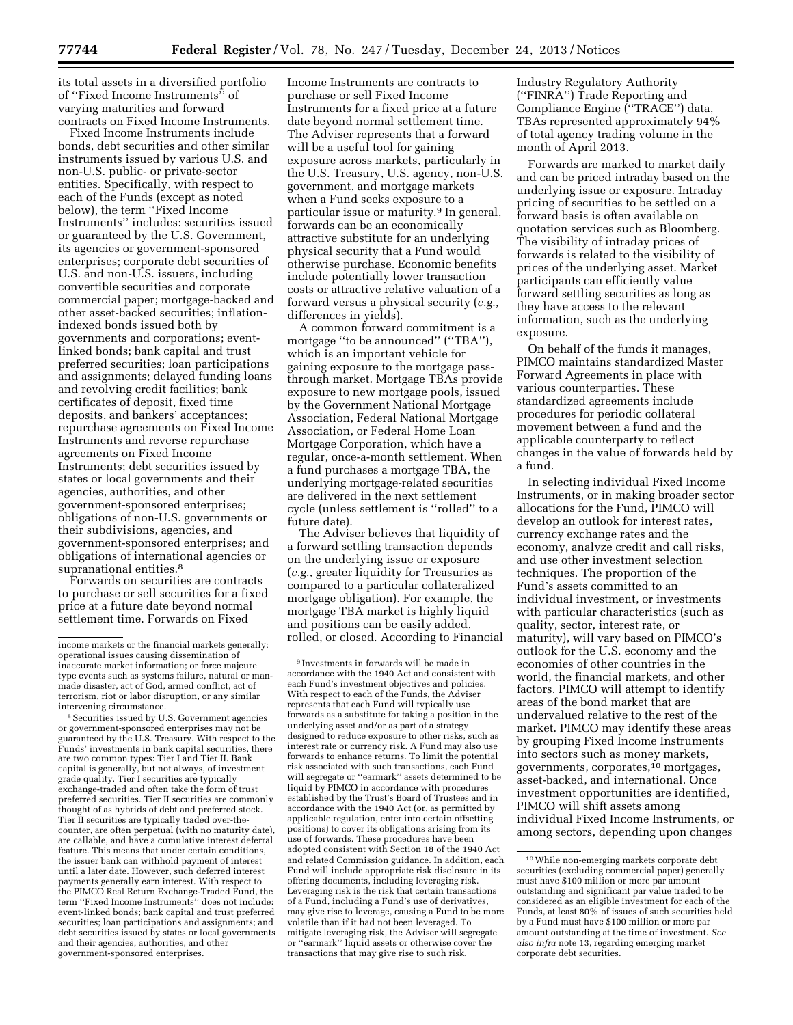its total assets in a diversified portfolio of ''Fixed Income Instruments'' of varying maturities and forward contracts on Fixed Income Instruments.

Fixed Income Instruments include bonds, debt securities and other similar instruments issued by various U.S. and non-U.S. public- or private-sector entities. Specifically, with respect to each of the Funds (except as noted below), the term ''Fixed Income Instruments'' includes: securities issued or guaranteed by the U.S. Government, its agencies or government-sponsored enterprises; corporate debt securities of U.S. and non-U.S. issuers, including convertible securities and corporate commercial paper; mortgage-backed and other asset-backed securities; inflationindexed bonds issued both by governments and corporations; eventlinked bonds; bank capital and trust preferred securities; loan participations and assignments; delayed funding loans and revolving credit facilities; bank certificates of deposit, fixed time deposits, and bankers' acceptances; repurchase agreements on Fixed Income Instruments and reverse repurchase agreements on Fixed Income Instruments; debt securities issued by states or local governments and their agencies, authorities, and other government-sponsored enterprises; obligations of non-U.S. governments or their subdivisions, agencies, and government-sponsored enterprises; and obligations of international agencies or supranational entities.<sup>8</sup>

Forwards on securities are contracts to purchase or sell securities for a fixed price at a future date beyond normal settlement time. Forwards on Fixed

8Securities issued by U.S. Government agencies or government-sponsored enterprises may not be guaranteed by the U.S. Treasury. With respect to the Funds' investments in bank capital securities, there are two common types: Tier I and Tier II. Bank capital is generally, but not always, of investment grade quality. Tier I securities are typically exchange-traded and often take the form of trust preferred securities. Tier II securities are commonly thought of as hybrids of debt and preferred stock. Tier II securities are typically traded over-thecounter, are often perpetual (with no maturity date), are callable, and have a cumulative interest deferral feature. This means that under certain conditions, the issuer bank can withhold payment of interest until a later date. However, such deferred interest payments generally earn interest. With respect to the PIMCO Real Return Exchange-Traded Fund, the term ''Fixed Income Instruments'' does not include: event-linked bonds; bank capital and trust preferred securities; loan participations and assignments; and debt securities issued by states or local governments and their agencies, authorities, and other government-sponsored enterprises.

Income Instruments are contracts to purchase or sell Fixed Income Instruments for a fixed price at a future date beyond normal settlement time. The Adviser represents that a forward will be a useful tool for gaining exposure across markets, particularly in the U.S. Treasury, U.S. agency, non-U.S. government, and mortgage markets when a Fund seeks exposure to a particular issue or maturity.<sup>9</sup> In general, forwards can be an economically attractive substitute for an underlying physical security that a Fund would otherwise purchase. Economic benefits include potentially lower transaction costs or attractive relative valuation of a forward versus a physical security (*e.g.,*  differences in yields).

A common forward commitment is a mortgage ''to be announced'' (''TBA''), which is an important vehicle for gaining exposure to the mortgage passthrough market. Mortgage TBAs provide exposure to new mortgage pools, issued by the Government National Mortgage Association, Federal National Mortgage Association, or Federal Home Loan Mortgage Corporation, which have a regular, once-a-month settlement. When a fund purchases a mortgage TBA, the underlying mortgage-related securities are delivered in the next settlement cycle (unless settlement is ''rolled'' to a future date).

The Adviser believes that liquidity of a forward settling transaction depends on the underlying issue or exposure (*e.g.,* greater liquidity for Treasuries as compared to a particular collateralized mortgage obligation). For example, the mortgage TBA market is highly liquid and positions can be easily added, rolled, or closed. According to Financial Industry Regulatory Authority (''FINRA'') Trade Reporting and Compliance Engine (''TRACE'') data, TBAs represented approximately 94% of total agency trading volume in the month of April 2013.

Forwards are marked to market daily and can be priced intraday based on the underlying issue or exposure. Intraday pricing of securities to be settled on a forward basis is often available on quotation services such as Bloomberg. The visibility of intraday prices of forwards is related to the visibility of prices of the underlying asset. Market participants can efficiently value forward settling securities as long as they have access to the relevant information, such as the underlying exposure.

On behalf of the funds it manages, PIMCO maintains standardized Master Forward Agreements in place with various counterparties. These standardized agreements include procedures for periodic collateral movement between a fund and the applicable counterparty to reflect changes in the value of forwards held by a fund.

In selecting individual Fixed Income Instruments, or in making broader sector allocations for the Fund, PIMCO will develop an outlook for interest rates, currency exchange rates and the economy, analyze credit and call risks, and use other investment selection techniques. The proportion of the Fund's assets committed to an individual investment, or investments with particular characteristics (such as quality, sector, interest rate, or maturity), will vary based on PIMCO's outlook for the U.S. economy and the economies of other countries in the world, the financial markets, and other factors. PIMCO will attempt to identify areas of the bond market that are undervalued relative to the rest of the market. PIMCO may identify these areas by grouping Fixed Income Instruments into sectors such as money markets, governments, corporates,10 mortgages, asset-backed, and international. Once investment opportunities are identified, PIMCO will shift assets among individual Fixed Income Instruments, or among sectors, depending upon changes

income markets or the financial markets generally; operational issues causing dissemination of inaccurate market information; or force majeure type events such as systems failure, natural or manmade disaster, act of God, armed conflict, act of terrorism, riot or labor disruption, or any similar intervening circumstance.

<sup>9</sup> Investments in forwards will be made in accordance with the 1940 Act and consistent with each Fund's investment objectives and policies. With respect to each of the Funds, the Adviser represents that each Fund will typically use forwards as a substitute for taking a position in the underlying asset and/or as part of a strategy designed to reduce exposure to other risks, such as interest rate or currency risk. A Fund may also use forwards to enhance returns. To limit the potential risk associated with such transactions, each Fund will segregate or ''earmark'' assets determined to be liquid by PIMCO in accordance with procedures established by the Trust's Board of Trustees and in accordance with the 1940 Act (or, as permitted by applicable regulation, enter into certain offsetting positions) to cover its obligations arising from its use of forwards. These procedures have been adopted consistent with Section 18 of the 1940 Act and related Commission guidance. In addition, each Fund will include appropriate risk disclosure in its offering documents, including leveraging risk. Leveraging risk is the risk that certain transactions of a Fund, including a Fund's use of derivatives, may give rise to leverage, causing a Fund to be more volatile than if it had not been leveraged. To mitigate leveraging risk, the Adviser will segregate or ''earmark'' liquid assets or otherwise cover the transactions that may give rise to such risk.

<sup>10</sup>While non-emerging markets corporate debt securities (excluding commercial paper) generally must have \$100 million or more par amount outstanding and significant par value traded to be considered as an eligible investment for each of the Funds, at least 80% of issues of such securities held by a Fund must have \$100 million or more par amount outstanding at the time of investment. *See also infra* note 13, regarding emerging market corporate debt securities.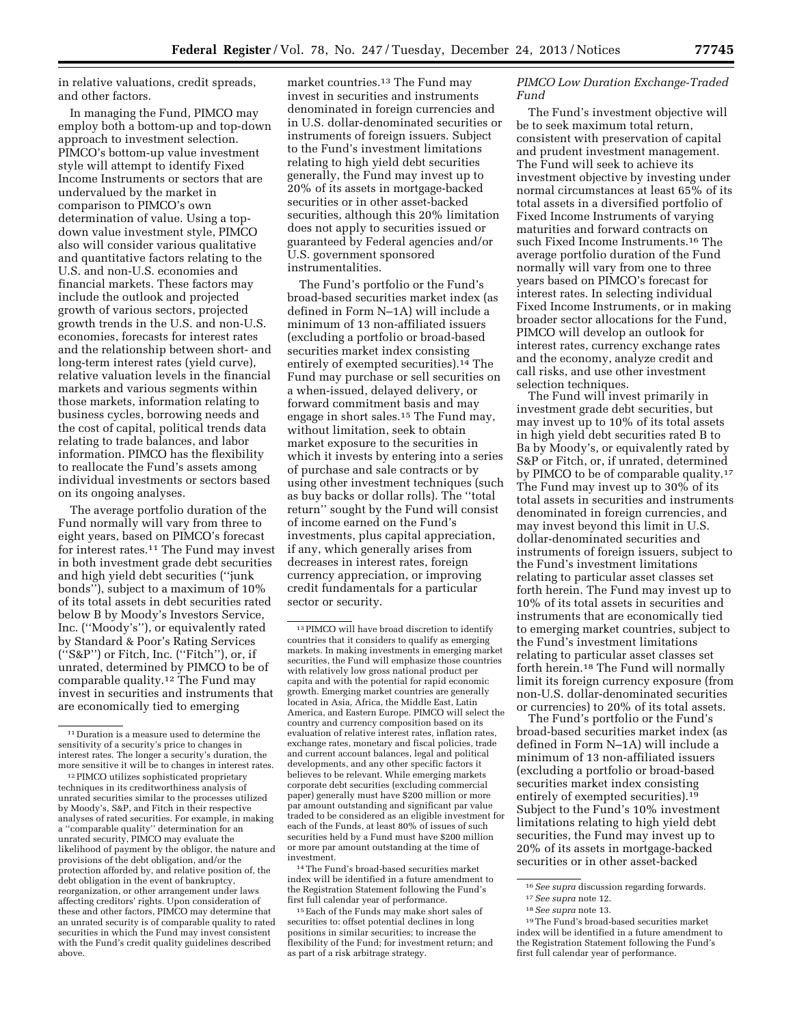in relative valuations, credit spreads, and other factors.

In managing the Fund, PIMCO may employ both a bottom-up and top-down approach to investment selection. PIMCO's bottom-up value investment style will attempt to identify Fixed Income Instruments or sectors that are undervalued by the market in comparison to PIMCO's own determination of value. Using a topdown value investment style, PIMCO also will consider various qualitative and quantitative factors relating to the U.S. and non-U.S. economies and financial markets. These factors may include the outlook and projected growth of various sectors, projected growth trends in the U.S. and non-U.S. economies, forecasts for interest rates and the relationship between short- and long-term interest rates (yield curve), relative valuation levels in the financial markets and various segments within those markets, information relating to business cycles, borrowing needs and the cost of capital, political trends data relating to trade balances, and labor information. PIMCO has the flexibility to reallocate the Fund's assets among individual investments or sectors based on its ongoing analyses.

The average portfolio duration of the Fund normally will vary from three to eight years, based on PIMCO's forecast for interest rates.<sup>11</sup> The Fund may invest in both investment grade debt securities and high yield debt securities (''junk bonds''), subject to a maximum of 10% of its total assets in debt securities rated below B by Moody's Investors Service, Inc. (''Moody's''), or equivalently rated by Standard & Poor's Rating Services (''S&P'') or Fitch, Inc. (''Fitch''), or, if unrated, determined by PIMCO to be of comparable quality.12 The Fund may invest in securities and instruments that are economically tied to emerging

12PIMCO utilizes sophisticated proprietary techniques in its creditworthiness analysis of unrated securities similar to the processes utilized by Moody's, S&P, and Fitch in their respective analyses of rated securities. For example, in making a ''comparable quality'' determination for an unrated security, PIMCO may evaluate the likelihood of payment by the obligor, the nature and provisions of the debt obligation, and/or the protection afforded by, and relative position of, the debt obligation in the event of bankruptcy, reorganization, or other arrangement under laws affecting creditors' rights. Upon consideration of these and other factors, PIMCO may determine that an unrated security is of comparable quality to rated securities in which the Fund may invest consistent with the Fund's credit quality guidelines described above.

market countries.13 The Fund may invest in securities and instruments denominated in foreign currencies and in U.S. dollar-denominated securities or instruments of foreign issuers. Subject to the Fund's investment limitations relating to high yield debt securities generally, the Fund may invest up to 20% of its assets in mortgage-backed securities or in other asset-backed securities, although this 20% limitation does not apply to securities issued or guaranteed by Federal agencies and/or U.S. government sponsored instrumentalities.

The Fund's portfolio or the Fund's broad-based securities market index (as defined in Form N–1A) will include a minimum of 13 non-affiliated issuers (excluding a portfolio or broad-based securities market index consisting entirely of exempted securities).14 The Fund may purchase or sell securities on a when-issued, delayed delivery, or forward commitment basis and may engage in short sales.15 The Fund may, without limitation, seek to obtain market exposure to the securities in which it invests by entering into a series of purchase and sale contracts or by using other investment techniques (such as buy backs or dollar rolls). The ''total return'' sought by the Fund will consist of income earned on the Fund's investments, plus capital appreciation, if any, which generally arises from decreases in interest rates, foreign currency appreciation, or improving credit fundamentals for a particular sector or security.

14The Fund's broad-based securities market index will be identified in a future amendment to the Registration Statement following the Fund's first full calendar year of performance.

15Each of the Funds may make short sales of securities to: offset potential declines in long positions in similar securities; to increase the flexibility of the Fund; for investment return; and as part of a risk arbitrage strategy.

### *PIMCO Low Duration Exchange-Traded Fund*

The Fund's investment objective will be to seek maximum total return, consistent with preservation of capital and prudent investment management. The Fund will seek to achieve its investment objective by investing under normal circumstances at least 65% of its total assets in a diversified portfolio of Fixed Income Instruments of varying maturities and forward contracts on such Fixed Income Instruments.16 The average portfolio duration of the Fund normally will vary from one to three years based on PIMCO's forecast for interest rates. In selecting individual Fixed Income Instruments, or in making broader sector allocations for the Fund, PIMCO will develop an outlook for interest rates, currency exchange rates and the economy, analyze credit and call risks, and use other investment selection techniques.

The Fund will invest primarily in investment grade debt securities, but may invest up to 10% of its total assets in high yield debt securities rated B to Ba by Moody's, or equivalently rated by S&P or Fitch, or, if unrated, determined by PIMCO to be of comparable quality.17 The Fund may invest up to 30% of its total assets in securities and instruments denominated in foreign currencies, and may invest beyond this limit in U.S. dollar-denominated securities and instruments of foreign issuers, subject to the Fund's investment limitations relating to particular asset classes set forth herein. The Fund may invest up to 10% of its total assets in securities and instruments that are economically tied to emerging market countries, subject to the Fund's investment limitations relating to particular asset classes set forth herein.18 The Fund will normally limit its foreign currency exposure (from non-U.S. dollar-denominated securities or currencies) to 20% of its total assets.

The Fund's portfolio or the Fund's broad-based securities market index (as defined in Form N–1A) will include a minimum of 13 non-affiliated issuers (excluding a portfolio or broad-based securities market index consisting entirely of exempted securities).<sup>19</sup> Subject to the Fund's 10% investment limitations relating to high yield debt securities, the Fund may invest up to 20% of its assets in mortgage-backed securities or in other asset-backed

<sup>11</sup> Duration is a measure used to determine the sensitivity of a security's price to changes in interest rates. The longer a security's duration, the more sensitive it will be to changes in interest rates.

<sup>13</sup>PIMCO will have broad discretion to identify countries that it considers to qualify as emerging markets. In making investments in emerging market securities, the Fund will emphasize those countries with relatively low gross national product per capita and with the potential for rapid economic growth. Emerging market countries are generally located in Asia, Africa, the Middle East, Latin America, and Eastern Europe. PIMCO will select the country and currency composition based on its evaluation of relative interest rates, inflation rates, exchange rates, monetary and fiscal policies, trade and current account balances, legal and political developments, and any other specific factors it believes to be relevant. While emerging markets corporate debt securities (excluding commercial paper) generally must have \$200 million or more par amount outstanding and significant par value traded to be considered as an eligible investment for each of the Funds, at least 80% of issues of such securities held by a Fund must have \$200 million or more par amount outstanding at the time of investment.

<sup>16</sup>*See supra* discussion regarding forwards.

<sup>17</sup>*See supra* note 12.

<sup>18</sup>*See supra* note 13.

<sup>19</sup>The Fund's broad-based securities market index will be identified in a future amendment to the Registration Statement following the Fund's first full calendar year of performance.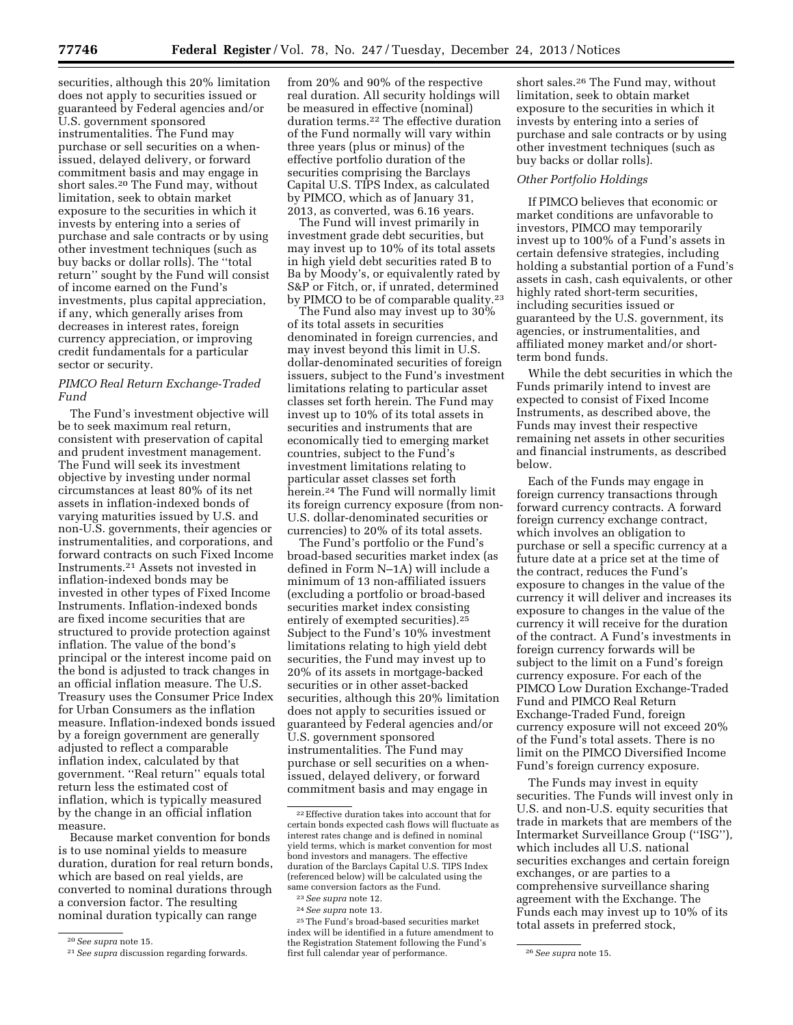securities, although this 20% limitation does not apply to securities issued or guaranteed by Federal agencies and/or U.S. government sponsored instrumentalities. The Fund may purchase or sell securities on a whenissued, delayed delivery, or forward commitment basis and may engage in short sales.20 The Fund may, without limitation, seek to obtain market exposure to the securities in which it invests by entering into a series of purchase and sale contracts or by using other investment techniques (such as buy backs or dollar rolls). The ''total return'' sought by the Fund will consist of income earned on the Fund's investments, plus capital appreciation, if any, which generally arises from decreases in interest rates, foreign currency appreciation, or improving credit fundamentals for a particular sector or security.

## *PIMCO Real Return Exchange-Traded Fund*

The Fund's investment objective will be to seek maximum real return, consistent with preservation of capital and prudent investment management. The Fund will seek its investment objective by investing under normal circumstances at least 80% of its net assets in inflation-indexed bonds of varying maturities issued by U.S. and non-U.S. governments, their agencies or instrumentalities, and corporations, and forward contracts on such Fixed Income Instruments.21 Assets not invested in inflation-indexed bonds may be invested in other types of Fixed Income Instruments. Inflation-indexed bonds are fixed income securities that are structured to provide protection against inflation. The value of the bond's principal or the interest income paid on the bond is adjusted to track changes in an official inflation measure. The U.S. Treasury uses the Consumer Price Index for Urban Consumers as the inflation measure. Inflation-indexed bonds issued by a foreign government are generally adjusted to reflect a comparable inflation index, calculated by that government. ''Real return'' equals total return less the estimated cost of inflation, which is typically measured by the change in an official inflation measure.

Because market convention for bonds is to use nominal yields to measure duration, duration for real return bonds, which are based on real yields, are converted to nominal durations through a conversion factor. The resulting nominal duration typically can range

from 20% and 90% of the respective real duration. All security holdings will be measured in effective (nominal) duration terms.22 The effective duration of the Fund normally will vary within three years (plus or minus) of the effective portfolio duration of the securities comprising the Barclays Capital U.S. TIPS Index, as calculated by PIMCO, which as of January 31, 2013, as converted, was 6.16 years.

The Fund will invest primarily in investment grade debt securities, but may invest up to 10% of its total assets in high yield debt securities rated B to Ba by Moody's, or equivalently rated by S&P or Fitch, or, if unrated, determined by PIMCO to be of comparable quality.<sup>23</sup>

The Fund also may invest up to 30% of its total assets in securities denominated in foreign currencies, and may invest beyond this limit in U.S. dollar-denominated securities of foreign issuers, subject to the Fund's investment limitations relating to particular asset classes set forth herein. The Fund may invest up to 10% of its total assets in securities and instruments that are economically tied to emerging market countries, subject to the Fund's investment limitations relating to particular asset classes set forth herein.24 The Fund will normally limit its foreign currency exposure (from non-U.S. dollar-denominated securities or currencies) to 20% of its total assets.

The Fund's portfolio or the Fund's broad-based securities market index (as defined in Form N–1A) will include a minimum of 13 non-affiliated issuers (excluding a portfolio or broad-based securities market index consisting entirely of exempted securities).25 Subject to the Fund's 10% investment limitations relating to high yield debt securities, the Fund may invest up to 20% of its assets in mortgage-backed securities or in other asset-backed securities, although this 20% limitation does not apply to securities issued or guaranteed by Federal agencies and/or U.S. government sponsored instrumentalities. The Fund may purchase or sell securities on a whenissued, delayed delivery, or forward commitment basis and may engage in

short sales.26 The Fund may, without limitation, seek to obtain market exposure to the securities in which it invests by entering into a series of purchase and sale contracts or by using other investment techniques (such as buy backs or dollar rolls).

## *Other Portfolio Holdings*

If PIMCO believes that economic or market conditions are unfavorable to investors, PIMCO may temporarily invest up to 100% of a Fund's assets in certain defensive strategies, including holding a substantial portion of a Fund's assets in cash, cash equivalents, or other highly rated short-term securities, including securities issued or guaranteed by the U.S. government, its agencies, or instrumentalities, and affiliated money market and/or shortterm bond funds.

While the debt securities in which the Funds primarily intend to invest are expected to consist of Fixed Income Instruments, as described above, the Funds may invest their respective remaining net assets in other securities and financial instruments, as described below.

Each of the Funds may engage in foreign currency transactions through forward currency contracts. A forward foreign currency exchange contract, which involves an obligation to purchase or sell a specific currency at a future date at a price set at the time of the contract, reduces the Fund's exposure to changes in the value of the currency it will deliver and increases its exposure to changes in the value of the currency it will receive for the duration of the contract. A Fund's investments in foreign currency forwards will be subject to the limit on a Fund's foreign currency exposure. For each of the PIMCO Low Duration Exchange-Traded Fund and PIMCO Real Return Exchange-Traded Fund, foreign currency exposure will not exceed 20% of the Fund's total assets. There is no limit on the PIMCO Diversified Income Fund's foreign currency exposure.

The Funds may invest in equity securities. The Funds will invest only in U.S. and non-U.S. equity securities that trade in markets that are members of the Intermarket Surveillance Group (''ISG''), which includes all U.S. national securities exchanges and certain foreign exchanges, or are parties to a comprehensive surveillance sharing agreement with the Exchange. The Funds each may invest up to 10% of its total assets in preferred stock,

<sup>20</sup>*See supra* note 15.

<sup>21</sup>*See supra* discussion regarding forwards.

 $\rm ^{22}$  Effective duration takes into account that for certain bonds expected cash flows will fluctuate as interest rates change and is defined in nominal yield terms, which is market convention for most bond investors and managers. The effective duration of the Barclays Capital U.S. TIPS Index (referenced below) will be calculated using the same conversion factors as the Fund.

<sup>23</sup>*See supra* note 12.

<sup>24</sup>*See supra* note 13.

<sup>25</sup>The Fund's broad-based securities market index will be identified in a future amendment to the Registration Statement following the Fund's first full calendar year of performance. 26*See supra* note 15.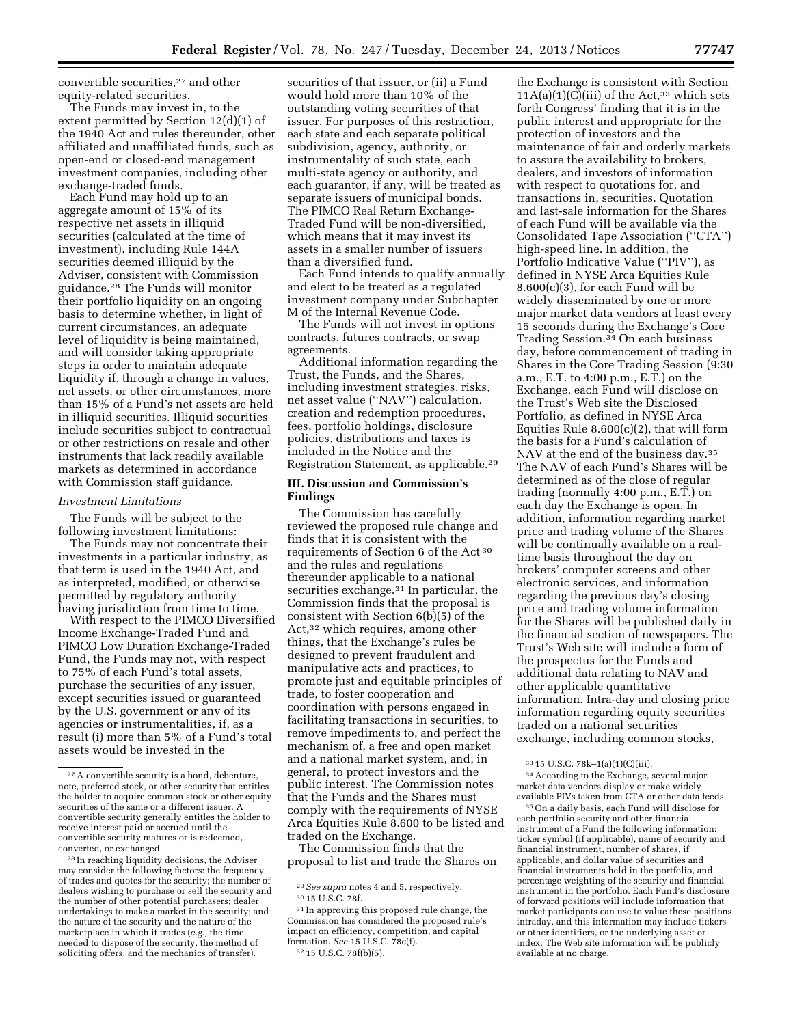convertible securities,27 and other equity-related securities.

The Funds may invest in, to the extent permitted by Section 12(d)(1) of the 1940 Act and rules thereunder, other affiliated and unaffiliated funds, such as open-end or closed-end management investment companies, including other exchange-traded funds.

Each Fund may hold up to an aggregate amount of 15% of its respective net assets in illiquid securities (calculated at the time of investment), including Rule 144A securities deemed illiquid by the Adviser, consistent with Commission guidance.28 The Funds will monitor their portfolio liquidity on an ongoing basis to determine whether, in light of current circumstances, an adequate level of liquidity is being maintained, and will consider taking appropriate steps in order to maintain adequate liquidity if, through a change in values, net assets, or other circumstances, more than 15% of a Fund's net assets are held in illiquid securities. Illiquid securities include securities subject to contractual or other restrictions on resale and other instruments that lack readily available markets as determined in accordance with Commission staff guidance.

#### *Investment Limitations*

The Funds will be subject to the following investment limitations:

The Funds may not concentrate their investments in a particular industry, as that term is used in the 1940 Act, and as interpreted, modified, or otherwise permitted by regulatory authority having jurisdiction from time to time.

With respect to the PIMCO Diversified Income Exchange-Traded Fund and PIMCO Low Duration Exchange-Traded Fund, the Funds may not, with respect to 75% of each Fund's total assets, purchase the securities of any issuer, except securities issued or guaranteed by the U.S. government or any of its agencies or instrumentalities, if, as a result (i) more than 5% of a Fund's total assets would be invested in the

securities of that issuer, or (ii) a Fund would hold more than 10% of the outstanding voting securities of that issuer. For purposes of this restriction, each state and each separate political subdivision, agency, authority, or instrumentality of such state, each multi-state agency or authority, and each guarantor, if any, will be treated as separate issuers of municipal bonds. The PIMCO Real Return Exchange-Traded Fund will be non-diversified, which means that it may invest its assets in a smaller number of issuers than a diversified fund.

Each Fund intends to qualify annually and elect to be treated as a regulated investment company under Subchapter M of the Internal Revenue Code.

The Funds will not invest in options contracts, futures contracts, or swap agreements.

Additional information regarding the Trust, the Funds, and the Shares, including investment strategies, risks, net asset value (''NAV'') calculation, creation and redemption procedures, fees, portfolio holdings, disclosure policies, distributions and taxes is included in the Notice and the Registration Statement, as applicable.29

## **III. Discussion and Commission's Findings**

The Commission has carefully reviewed the proposed rule change and finds that it is consistent with the requirements of Section 6 of the Act 30 and the rules and regulations thereunder applicable to a national securities exchange.<sup>31</sup> In particular, the Commission finds that the proposal is consistent with Section 6(b)(5) of the Act,32 which requires, among other things, that the Exchange's rules be designed to prevent fraudulent and manipulative acts and practices, to promote just and equitable principles of trade, to foster cooperation and coordination with persons engaged in facilitating transactions in securities, to remove impediments to, and perfect the mechanism of, a free and open market and a national market system, and, in general, to protect investors and the public interest. The Commission notes that the Funds and the Shares must comply with the requirements of NYSE Arca Equities Rule 8.600 to be listed and traded on the Exchange.

The Commission finds that the proposal to list and trade the Shares on the Exchange is consistent with Section  $11A(a)(1)(C)(iii)$  of the Act,<sup>33</sup> which sets forth Congress' finding that it is in the public interest and appropriate for the protection of investors and the maintenance of fair and orderly markets to assure the availability to brokers, dealers, and investors of information with respect to quotations for, and transactions in, securities. Quotation and last-sale information for the Shares of each Fund will be available via the Consolidated Tape Association (''CTA'') high-speed line. In addition, the Portfolio Indicative Value (''PIV''), as defined in NYSE Arca Equities Rule 8.600(c)(3), for each Fund will be widely disseminated by one or more major market data vendors at least every 15 seconds during the Exchange's Core Trading Session.<sup>34</sup> On each business day, before commencement of trading in Shares in the Core Trading Session (9:30 a.m., E.T. to 4:00 p.m., E.T.) on the Exchange, each Fund will disclose on the Trust's Web site the Disclosed Portfolio, as defined in NYSE Arca Equities Rule 8.600(c)(2), that will form the basis for a Fund's calculation of NAV at the end of the business day.35 The NAV of each Fund's Shares will be determined as of the close of regular trading (normally 4:00 p.m., E.T.) on each day the Exchange is open. In addition, information regarding market price and trading volume of the Shares will be continually available on a realtime basis throughout the day on brokers' computer screens and other electronic services, and information regarding the previous day's closing price and trading volume information for the Shares will be published daily in the financial section of newspapers. The Trust's Web site will include a form of the prospectus for the Funds and additional data relating to NAV and other applicable quantitative information. Intra-day and closing price information regarding equity securities traded on a national securities exchange, including common stocks,

34According to the Exchange, several major market data vendors display or make widely available PIVs taken from CTA or other data feeds.

35On a daily basis, each Fund will disclose for each portfolio security and other financial instrument of a Fund the following information: ticker symbol (if applicable), name of security and financial instrument, number of shares, if applicable, and dollar value of securities and financial instruments held in the portfolio, and percentage weighting of the security and financial instrument in the portfolio. Each Fund's disclosure of forward positions will include information that market participants can use to value these positions intraday, and this information may include tickers or other identifiers, or the underlying asset or index. The Web site information will be publicly available at no charge.

<sup>27</sup>A convertible security is a bond, debenture, note, preferred stock, or other security that entitles the holder to acquire common stock or other equity securities of the same or a different issuer. A convertible security generally entitles the holder to receive interest paid or accrued until the convertible security matures or is redeemed, converted, or exchanged.

<sup>28</sup> In reaching liquidity decisions, the Adviser may consider the following factors: the frequency of trades and quotes for the security; the number of dealers wishing to purchase or sell the security and the number of other potential purchasers; dealer undertakings to make a market in the security; and the nature of the security and the nature of the marketplace in which it trades (*e.g.,* the time needed to dispose of the security, the method of soliciting offers, and the mechanics of transfer).

<sup>29</sup>*See supra* notes 4 and 5, respectively.

<sup>30</sup> 15 U.S.C. 78f.

<sup>31</sup> In approving this proposed rule change, the Commission has considered the proposed rule's impact on efficiency, competition, and capital formation. *See* 15 U.S.C. 78c(f). 32 15 U.S.C. 78f(b)(5).

<sup>33</sup> 15 U.S.C. 78k–1(a)(1)(C)(iii).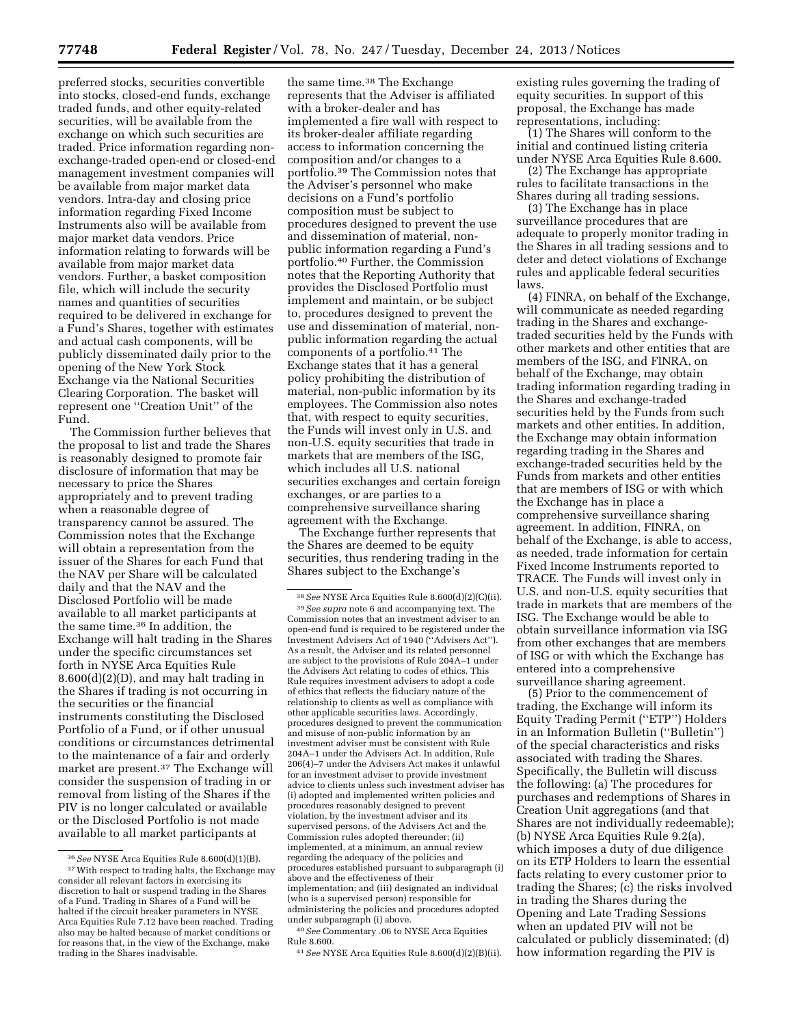preferred stocks, securities convertible into stocks, closed-end funds, exchange traded funds, and other equity-related securities, will be available from the exchange on which such securities are traded. Price information regarding nonexchange-traded open-end or closed-end management investment companies will be available from major market data vendors. Intra-day and closing price information regarding Fixed Income Instruments also will be available from major market data vendors. Price information relating to forwards will be available from major market data vendors. Further, a basket composition file, which will include the security names and quantities of securities required to be delivered in exchange for a Fund's Shares, together with estimates and actual cash components, will be publicly disseminated daily prior to the opening of the New York Stock Exchange via the National Securities Clearing Corporation. The basket will represent one ''Creation Unit'' of the Fund.

The Commission further believes that the proposal to list and trade the Shares is reasonably designed to promote fair disclosure of information that may be necessary to price the Shares appropriately and to prevent trading when a reasonable degree of transparency cannot be assured. The Commission notes that the Exchange will obtain a representation from the issuer of the Shares for each Fund that the NAV per Share will be calculated daily and that the NAV and the Disclosed Portfolio will be made available to all market participants at the same time.36 In addition, the Exchange will halt trading in the Shares under the specific circumstances set forth in NYSE Arca Equities Rule 8.600(d)(2)(D), and may halt trading in the Shares if trading is not occurring in the securities or the financial instruments constituting the Disclosed Portfolio of a Fund, or if other unusual conditions or circumstances detrimental to the maintenance of a fair and orderly market are present.37 The Exchange will consider the suspension of trading in or removal from listing of the Shares if the PIV is no longer calculated or available or the Disclosed Portfolio is not made available to all market participants at

the same time.38 The Exchange represents that the Adviser is affiliated with a broker-dealer and has implemented a fire wall with respect to its broker-dealer affiliate regarding access to information concerning the composition and/or changes to a portfolio.39 The Commission notes that the Adviser's personnel who make decisions on a Fund's portfolio composition must be subject to procedures designed to prevent the use and dissemination of material, nonpublic information regarding a Fund's portfolio.40 Further, the Commission notes that the Reporting Authority that provides the Disclosed Portfolio must implement and maintain, or be subject to, procedures designed to prevent the use and dissemination of material, nonpublic information regarding the actual components of a portfolio.41 The Exchange states that it has a general policy prohibiting the distribution of material, non-public information by its employees. The Commission also notes that, with respect to equity securities, the Funds will invest only in U.S. and non-U.S. equity securities that trade in markets that are members of the ISG, which includes all U.S. national securities exchanges and certain foreign exchanges, or are parties to a comprehensive surveillance sharing agreement with the Exchange.

The Exchange further represents that the Shares are deemed to be equity securities, thus rendering trading in the Shares subject to the Exchange's

40*See* Commentary .06 to NYSE Arca Equities Rule 8.600.

41*See* NYSE Arca Equities Rule 8.600(d)(2)(B)(ii).

existing rules governing the trading of equity securities. In support of this proposal, the Exchange has made representations, including:

(1) The Shares will conform to the initial and continued listing criteria under NYSE Arca Equities Rule 8.600.

(2) The Exchange has appropriate rules to facilitate transactions in the Shares during all trading sessions.

(3) The Exchange has in place surveillance procedures that are adequate to properly monitor trading in the Shares in all trading sessions and to deter and detect violations of Exchange rules and applicable federal securities laws.

(4) FINRA, on behalf of the Exchange, will communicate as needed regarding trading in the Shares and exchangetraded securities held by the Funds with other markets and other entities that are members of the ISG, and FINRA, on behalf of the Exchange, may obtain trading information regarding trading in the Shares and exchange-traded securities held by the Funds from such markets and other entities. In addition, the Exchange may obtain information regarding trading in the Shares and exchange-traded securities held by the Funds from markets and other entities that are members of ISG or with which the Exchange has in place a comprehensive surveillance sharing agreement. In addition, FINRA, on behalf of the Exchange, is able to access, as needed, trade information for certain Fixed Income Instruments reported to TRACE. The Funds will invest only in U.S. and non-U.S. equity securities that trade in markets that are members of the ISG. The Exchange would be able to obtain surveillance information via ISG from other exchanges that are members of ISG or with which the Exchange has entered into a comprehensive surveillance sharing agreement.

(5) Prior to the commencement of trading, the Exchange will inform its Equity Trading Permit (''ETP'') Holders in an Information Bulletin (''Bulletin'') of the special characteristics and risks associated with trading the Shares. Specifically, the Bulletin will discuss the following: (a) The procedures for purchases and redemptions of Shares in Creation Unit aggregations (and that Shares are not individually redeemable); (b) NYSE Arca Equities Rule 9.2(a), which imposes a duty of due diligence on its ETP Holders to learn the essential facts relating to every customer prior to trading the Shares; (c) the risks involved in trading the Shares during the Opening and Late Trading Sessions when an updated PIV will not be calculated or publicly disseminated; (d) how information regarding the PIV is

<sup>36</sup>*See* NYSE Arca Equities Rule 8.600(d)(1)(B). <sup>37</sup> With respect to trading halts, the Exchange may consider all relevant factors in exercising its discretion to halt or suspend trading in the Shares of a Fund. Trading in Shares of a Fund will be halted if the circuit breaker parameters in NYSE Arca Equities Rule 7.12 have been reached. Trading also may be halted because of market conditions or for reasons that, in the view of the Exchange, make trading in the Shares inadvisable.

<sup>38</sup>*See* NYSE Arca Equities Rule 8.600(d)(2)(C)(ii). 39*See supra* note 6 and accompanying text. The Commission notes that an investment adviser to an open-end fund is required to be registered under the Investment Advisers Act of 1940 (''Advisers Act''). As a result, the Adviser and its related personnel are subject to the provisions of Rule 204A–1 under the Advisers Act relating to codes of ethics. This Rule requires investment advisers to adopt a code of ethics that reflects the fiduciary nature of the relationship to clients as well as compliance with other applicable securities laws. Accordingly, procedures designed to prevent the communication and misuse of non-public information by an investment adviser must be consistent with Rule 204A–1 under the Advisers Act. In addition, Rule 206(4)–7 under the Advisers Act makes it unlawful for an investment adviser to provide investment advice to clients unless such investment adviser has (i) adopted and implemented written policies and procedures reasonably designed to prevent violation, by the investment adviser and its supervised persons, of the Advisers Act and the Commission rules adopted thereunder; (ii) implemented, at a minimum, an annual review regarding the adequacy of the policies and procedures established pursuant to subparagraph (i) above and the effectiveness of their implementation; and (iii) designated an individual (who is a supervised person) responsible for administering the policies and procedures adopted under subparagraph (i) above.